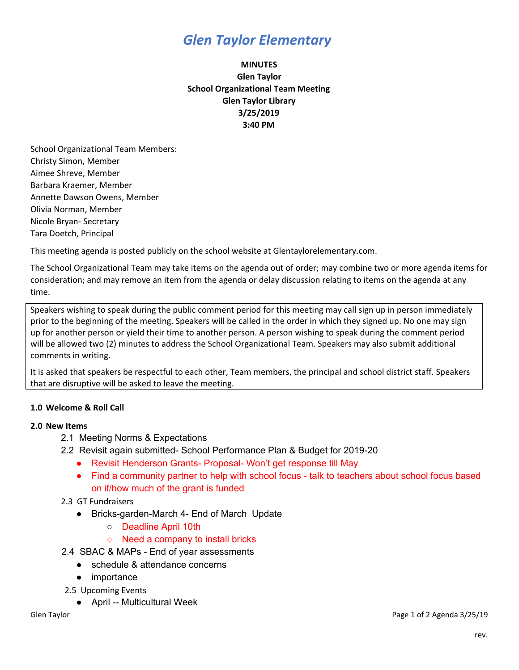# *Glen Taylor Elementary*

## **MINUTES Glen Taylor School Organizational Team Meeting Glen Taylor Library 3/25/2019 3:40 PM**

School Organizational Team Members: Christy Simon, Member Aimee Shreve, Member Barbara Kraemer, Member Annette Dawson Owens, Member Olivia Norman, Member Nicole Bryan- Secretary Tara Doetch, Principal

This meeting agenda is posted publicly on the school website at Glentaylorelementary.com.

The School Organizational Team may take items on the agenda out of order; may combine two or more agenda items for consideration; and may remove an item from the agenda or delay discussion relating to items on the agenda at any time.

Speakers wishing to speak during the public comment period for this meeting may call sign up in person immediately prior to the beginning of the meeting. Speakers will be called in the order in which they signed up. No one may sign up for another person or yield their time to another person. A person wishing to speak during the comment period will be allowed two (2) minutes to address the School Organizational Team. Speakers may also submit additional comments in writing.

It is asked that speakers be respectful to each other, Team members, the principal and school district staff. Speakers that are disruptive will be asked to leave the meeting.

### **1.0 Welcome & Roll Call**

### **2.0 New Items**

- 2.1 Meeting Norms & Expectations
- 2.2 Revisit again submitted- School Performance Plan & Budget for 2019-20
	- Revisit Henderson Grants- Proposal- Won't get response till May
	- Find a community partner to help with school focus talk to teachers about school focus based on if/how much of the grant is funded

### 2.3 GT Fundraisers

- Bricks-garden-March 4- End of March Update
	- Deadline April 10th
	- Need a company to install bricks
- 2.4 SBAC & MAPs End of year assessments
	- schedule & attendance concerns
	- importance
- 2.5 Upcoming Events
	- April -- Multicultural Week